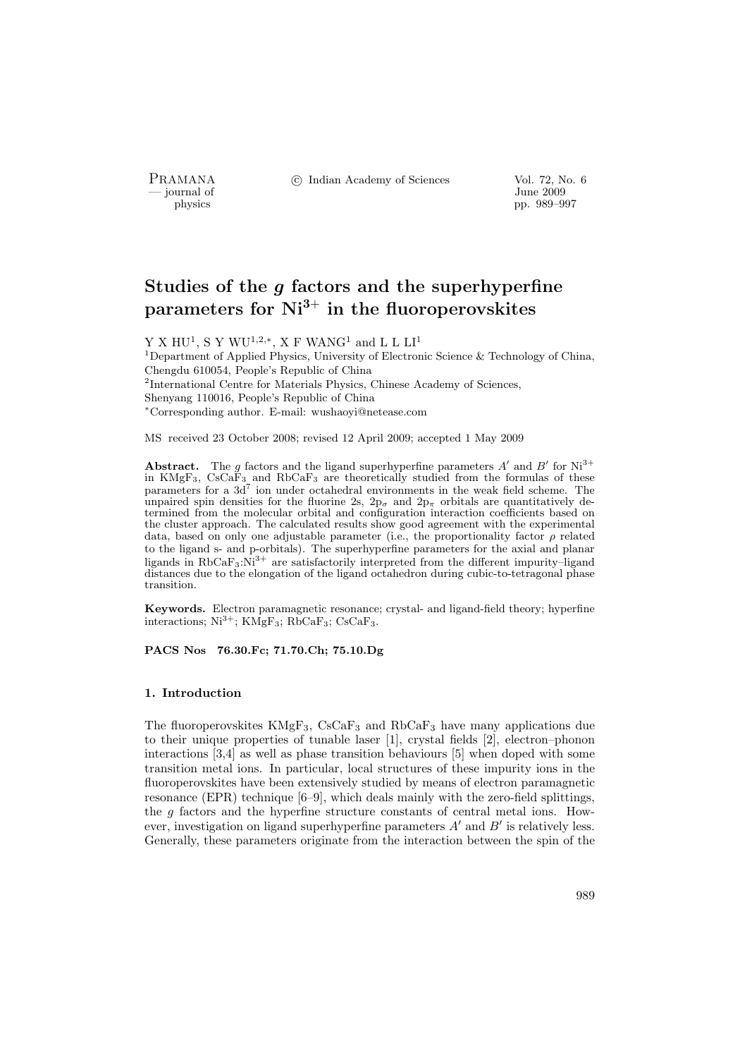- journal of<br>physics

PRAMANA <sup>©</sup>© Indian Academy of Sciences Vol. 72, No. 6<br>
— journal of June 2009

physics pp. 989–997

# Studies of the g factors and the superhyperfine parameters for  $Ni^{3+}$  in the fluoroperovskites

 $Y$  X HU<sup>1</sup>, S Y WU<sup>1,2,\*</sup>, X F WANG<sup>1</sup> and L L LI<sup>1</sup>  $^1$ Department of Applied Physics, University of Electronic Science  $\&$  Technology of China, Chengdu 610054, People's Republic of China <sup>2</sup>International Centre for Materials Physics, Chinese Academy of Sciences, Shenyang 110016, People's Republic of China <sup>∗</sup>Corresponding author. E-mail: wushaoyi@netease.com

MS received 23 October 2008; revised 12 April 2009; accepted 1 May 2009

**Abstract.** The g factors and the ligand superhyperfine parameters  $A'$  and  $B'$  for  $Ni^{3+}$ in  $KMgF_3$ ,  $CsCaF_3$  and  $RbCaF_3$  are theoretically studied from the formulas of these parameters for a  $3d^7$  ion under octahedral environments in the weak field scheme. The unpaired spin densities for the fluorine 2s,  $2p_{\sigma}$  and  $2p_{\pi}$  orbitals are quantitatively determined from the molecular orbital and configuration interaction coefficients based on the cluster approach. The calculated results show good agreement with the experimental data, based on only one adjustable parameter (i.e., the proportionality factor  $\rho$  related to the ligand s- and p-orbitals). The superhyperfine parameters for the axial and planar ligands in  $RbCaF_3:Ni^{3+}$  are satisfactorily interpreted from the different impurity–ligand distances due to the elongation of the ligand octahedron during cubic-to-tetragonal phase transition.

Keywords. Electron paramagnetic resonance; crystal- and ligand-field theory; hyperfine interactions;  $Ni^{3+}$ ;  $KMgF_3$ ;  $RbCaF_3$ ;  $CsCaF_3$ .

PACS Nos 76.30.Fc; 71.70.Ch; 75.10.Dg

#### 1. Introduction

The fluoroperovskites  $KMgF_3$ , CsCaF<sub>3</sub> and RbCaF<sub>3</sub> have many applications due to their unique properties of tunable laser [1], crystal fields [2], electron–phonon interactions [3,4] as well as phase transition behaviours [5] when doped with some transition metal ions. In particular, local structures of these impurity ions in the fluoroperovskites have been extensively studied by means of electron paramagnetic resonance (EPR) technique [6–9], which deals mainly with the zero-field splittings, the g factors and the hyperfine structure constants of central metal ions. However, investigation on ligand superhyperfine parameters  $A'$  and  $B'$  is relatively less. Generally, these parameters originate from the interaction between the spin of the

989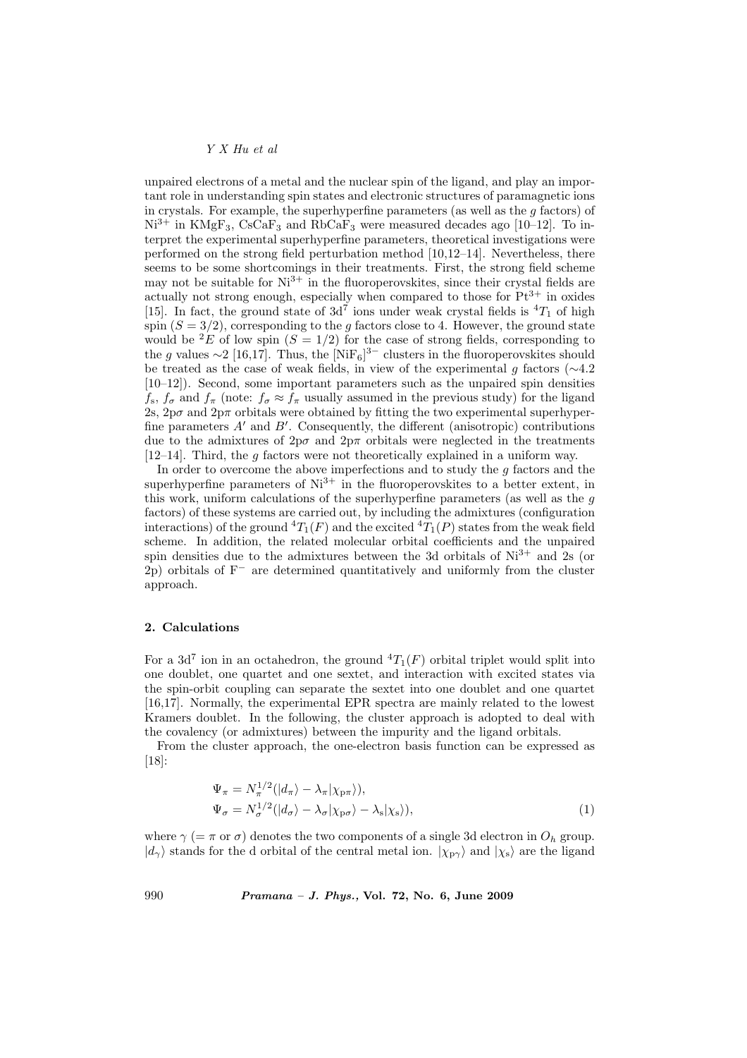unpaired electrons of a metal and the nuclear spin of the ligand, and play an important role in understanding spin states and electronic structures of paramagnetic ions in crystals. For example, the superhyperfine parameters (as well as the  $q$  factors) of  $\rm Ni^{3+}$  in  $\rm KMgF_3$ , CsCaF<sub>3</sub> and RbCaF<sub>3</sub> were measured decades ago [10–12]. To interpret the experimental superhyperfine parameters, theoretical investigations were performed on the strong field perturbation method [10,12–14]. Nevertheless, there seems to be some shortcomings in their treatments. First, the strong field scheme may not be suitable for  $Ni^{3+}$  in the fluoroperovskites, since their crystal fields are actually not strong enough, especially when compared to those for  $Pt^{3+}$  in oxides [15]. In fact, the ground state of  $3d^7$  ions under weak crystal fields is  ${}^4T_1$  of high spin  $(S = 3/2)$ , corresponding to the g factors close to 4. However, the ground state would be <sup>2</sup>E of low spin ( $S = 1/2$ ) for the case of strong fields, corresponding to the g values  $\sim$ 2 [16,17]. Thus, the [NiF<sub>6</sub>]<sup>3–</sup> clusters in the fluoroperovskites should be treated as the case of weak fields, in view of the experimental g factors (∼4.2 [10–12]). Second, some important parameters such as the unpaired spin densities  $f_s$ ,  $f_\sigma$  and  $f_\pi$  (note:  $f_\sigma \approx f_\pi$  usually assumed in the previous study) for the ligand 2s,  $2p\sigma$  and  $2p\pi$  orbitals were obtained by fitting the two experimental superhyperfine parameters  $A'$  and  $B'$ . Consequently, the different (anisotropic) contributions due to the admixtures of  $2p\sigma$  and  $2p\pi$  orbitals were neglected in the treatments [12–14]. Third, the g factors were not theoretically explained in a uniform way.

In order to overcome the above imperfections and to study the  $q$  factors and the superhyperfine parameters of  $Ni^{3+}$  in the fluoroperovskites to a better extent, in this work, uniform calculations of the superhyperfine parameters (as well as the  $q$ ) factors) of these systems are carried out, by including the admixtures (configuration interactions) of the ground  ${}^4T_1(F)$  and the excited  ${}^4T_1(P)$  states from the weak field scheme. In addition, the related molecular orbital coefficients and the unpaired spin densities due to the admixtures between the 3d orbitals of  $Ni<sup>3+</sup>$  and 2s (or 2p) orbitals of F<sup>−</sup> are determined quantitatively and uniformly from the cluster approach.

## 2. Calculations

For a 3d<sup>7</sup> ion in an octahedron, the ground  ${}^{4}T_{1}(F)$  orbital triplet would split into one doublet, one quartet and one sextet, and interaction with excited states via the spin-orbit coupling can separate the sextet into one doublet and one quartet [16,17]. Normally, the experimental EPR spectra are mainly related to the lowest Kramers doublet. In the following, the cluster approach is adopted to deal with the covalency (or admixtures) between the impurity and the ligand orbitals.

From the cluster approach, the one-electron basis function can be expressed as [18]:

$$
\Psi_{\pi} = N_{\pi}^{1/2} (|d_{\pi}\rangle - \lambda_{\pi} | \chi_{p\pi} \rangle),
$$
  
\n
$$
\Psi_{\sigma} = N_{\sigma}^{1/2} (|d_{\sigma}\rangle - \lambda_{\sigma} | \chi_{p\sigma}\rangle - \lambda_{s} | \chi_{s} \rangle),
$$
\n(1)

where  $\gamma$  (=  $\pi$  or  $\sigma$ ) denotes the two components of a single 3d electron in  $O_h$  group.  $|d_{\gamma}\rangle$  stands for the d orbital of the central metal ion.  $|\chi_{p\gamma}\rangle$  and  $|\chi_{s}\rangle$  are the ligand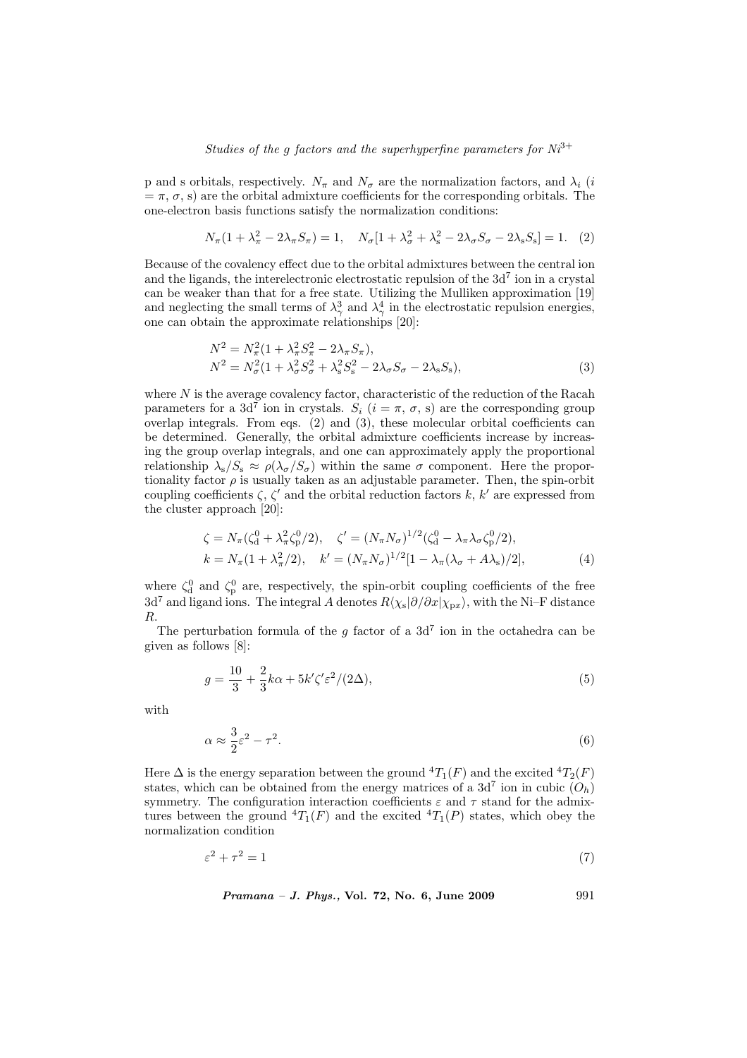### Studies of the g factors and the superhyperfine parameters for  $Ni^{3+}$

p and s orbitals, respectively.  $N_{\pi}$  and  $N_{\sigma}$  are the normalization factors, and  $\lambda_i$  (i  $=\pi$ ,  $\sigma$ , s) are the orbital admixture coefficients for the corresponding orbitals. The one-electron basis functions satisfy the normalization conditions:

$$
N_{\pi}(1 + \lambda_{\pi}^{2} - 2\lambda_{\pi}S_{\pi}) = 1, \quad N_{\sigma}[1 + \lambda_{\sigma}^{2} + \lambda_{\rm s}^{2} - 2\lambda_{\sigma}S_{\sigma} - 2\lambda_{\rm s}S_{\rm s}] = 1. \quad (2)
$$

Because of the covalency effect due to the orbital admixtures between the central ion and the ligands, the interelectronic electrostatic repulsion of the  $3d^7$  ion in a crystal can be weaker than that for a free state. Utilizing the Mulliken approximation [19] and neglecting the small terms of  $\lambda_{\gamma}^{3}$  and  $\lambda_{\gamma}^{4}$  in the electrostatic repulsion energies, one can obtain the approximate relationships [20]:

$$
N^{2} = N_{\pi}^{2} (1 + \lambda_{\pi}^{2} S_{\pi}^{2} - 2\lambda_{\pi} S_{\pi}),
$$
  
\n
$$
N^{2} = N_{\sigma}^{2} (1 + \lambda_{\sigma}^{2} S_{\sigma}^{2} + \lambda_{\pi}^{2} S_{\pi}^{2} - 2\lambda_{\sigma} S_{\sigma} - 2\lambda_{\pi} S_{\pi}),
$$
\n(3)

where  $N$  is the average covalency factor, characteristic of the reduction of the Racah parameters for a 3d<sup>7</sup> ion in crystals.  $S_i$  ( $i = \pi$ ,  $\sigma$ , s) are the corresponding group overlap integrals. From eqs. (2) and (3), these molecular orbital coefficients can be determined. Generally, the orbital admixture coefficients increase by increasing the group overlap integrals, and one can approximately apply the proportional relationship  $\lambda_s/S_s \approx \rho(\lambda_{\sigma}/S_{\sigma})$  within the same  $\sigma$  component. Here the proportionality factor  $\rho$  is usually taken as an adjustable parameter. Then, the spin-orbit coupling coefficients  $\zeta$ ,  $\zeta'$  and the orbital reduction factors k, k' are expressed from the cluster approach [20]:

$$
\zeta = N_{\pi}(\zeta_{d}^{0} + \lambda_{\pi}^{2}\zeta_{p}^{0}/2), \quad \zeta' = (N_{\pi}N_{\sigma})^{1/2}(\zeta_{d}^{0} - \lambda_{\pi}\lambda_{\sigma}\zeta_{p}^{0}/2),
$$
  
\n
$$
k = N_{\pi}(1 + \lambda_{\pi}^{2}/2), \quad k' = (N_{\pi}N_{\sigma})^{1/2}[1 - \lambda_{\pi}(\lambda_{\sigma} + A_{\sigma})]/2],
$$
 (4)

where  $\zeta_d^0$  and  $\zeta_p^0$  are, respectively, the spin-orbit coupling coefficients of the free 3d<sup>7</sup> and ligand ions. The integral A denotes  $R(\chi_s|\partial/\partial x|\chi_{px})$ , with the Ni–F distance R.

The perturbation formula of the g factor of a  $3d^7$  ion in the octahedra can be given as follows [8]:

$$
g = \frac{10}{3} + \frac{2}{3}k\alpha + 5k'\zeta'\varepsilon^2/(2\Delta),\tag{5}
$$

with

$$
\alpha \approx \frac{3}{2}\varepsilon^2 - \tau^2. \tag{6}
$$

Here  $\Delta$  is the energy separation between the ground  ${}^4T_1(F)$  and the excited  ${}^4T_2(F)$ states, which can be obtained from the energy matrices of a  $3d^7$  ion in cubic  $(O_h)$ symmetry. The configuration interaction coefficients  $\varepsilon$  and  $\tau$  stand for the admixtures between the ground  ${}^4T_1(F)$  and the excited  ${}^4T_1(P)$  states, which obey the normalization condition

$$
\varepsilon^2 + \tau^2 = 1\tag{7}
$$

Pramana – J. Phys., Vol. 72, No. 6, June 2009 991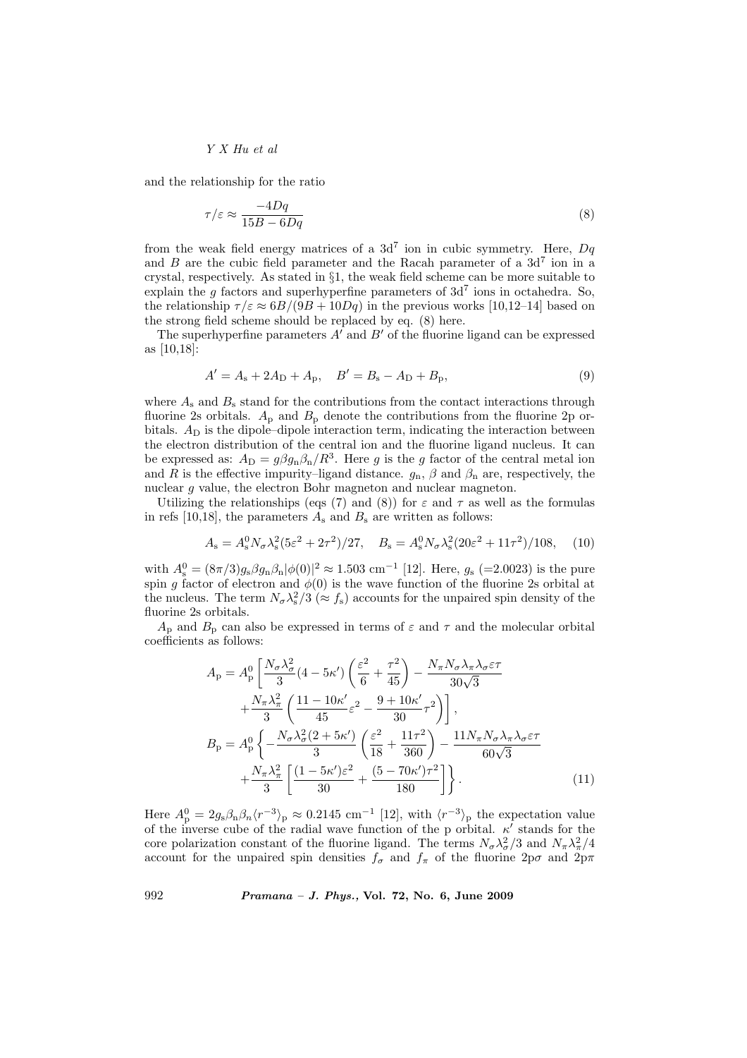and the relationship for the ratio

$$
\tau/\varepsilon \approx \frac{-4Dq}{15B - 6Dq} \tag{8}
$$

from the weak field energy matrices of a  $3d^7$  ion in cubic symmetry. Here,  $Dq$ and  $B$  are the cubic field parameter and the Racah parameter of a  $3d^7$  ion in a crystal, respectively. As stated in §1, the weak field scheme can be more suitable to explain the g factors and superhyperfine parameters of  $3d^7$  ions in octahedra. So, the relationship  $\tau/\varepsilon \approx 6B/(9B + 10Dq)$  in the previous works [10,12–14] based on the strong field scheme should be replaced by eq. (8) here.

The superhyperfine parameters  $A'$  and  $B'$  of the fluorine ligand can be expressed as [10,18]:

$$
A' = A_s + 2A_D + A_p, \quad B' = B_s - A_D + B_p,\tag{9}
$$

where  $A_s$  and  $B_s$  stand for the contributions from the contact interactions through fluorine 2s orbitals.  $A_p$  and  $B_p$  denote the contributions from the fluorine 2p orbitals.  $A_D$  is the dipole–dipole interaction term, indicating the interaction between the electron distribution of the central ion and the fluorine ligand nucleus. It can be expressed as:  $A_D = g\beta g_p \beta_n / R^3$ . Here g is the g factor of the central metal ion and R is the effective impurity–ligand distance.  $g_n$ ,  $\beta$  and  $\beta_n$  are, respectively, the nuclear g value, the electron Bohr magneton and nuclear magneton.

Utilizing the relationships (eqs (7) and (8)) for  $\varepsilon$  and  $\tau$  as well as the formulas in refs [10,18], the parameters  $A_s$  and  $B_s$  are written as follows:

$$
A_{\rm s} = A_{\rm s}^0 N_{\sigma} \lambda_{\rm s}^2 (5\varepsilon^2 + 2\tau^2)/27, \quad B_{\rm s} = A_{\rm s}^0 N_{\sigma} \lambda_{\rm s}^2 (20\varepsilon^2 + 11\tau^2)/108, \quad (10)
$$

with  $A_{\rm s}^0 = (8\pi/3)g_{\rm s}\beta g_{\rm n}\beta_{\rm n}|\phi(0)|^2 \approx 1.503$  cm<sup>-1</sup> [12]. Here,  $g_{\rm s}$  (=2.0023) is the pure spin g factor of electron and  $\phi(0)$  is the wave function of the fluorine 2s orbital at the nucleus. The term  $N_{\sigma} \lambda_s^2/3$  ( $\approx f_s$ ) accounts for the unpaired spin density of the fluorine 2s orbitals.

 $A_{\rm p}$  and  $B_{\rm p}$  can also be expressed in terms of  $\varepsilon$  and  $\tau$  and the molecular orbital coefficients as follows:

$$
A_{\rm p} = A_{\rm p}^{0} \left[ \frac{N_{\sigma} \lambda_{\sigma}^{2}}{3} (4 - 5\kappa') \left( \frac{\varepsilon^{2}}{6} + \frac{\tau^{2}}{45} \right) - \frac{N_{\pi} N_{\sigma} \lambda_{\pi} \lambda_{\sigma} \varepsilon \tau}{30\sqrt{3}} + \frac{N_{\pi} \lambda_{\pi}^{2}}{3} \left( \frac{11 - 10\kappa'}{45} \varepsilon^{2} - \frac{9 + 10\kappa'}{30} \tau^{2} \right) \right],
$$
  
\n
$$
B_{\rm p} = A_{\rm p}^{0} \left\{ -\frac{N_{\sigma} \lambda_{\sigma}^{2} (2 + 5\kappa')}{3} \left( \frac{\varepsilon^{2}}{18} + \frac{11\tau^{2}}{360} \right) - \frac{11 N_{\pi} N_{\sigma} \lambda_{\pi} \lambda_{\sigma} \varepsilon \tau}{60\sqrt{3}} + \frac{N_{\pi} \lambda_{\pi}^{2}}{3} \left[ \frac{(1 - 5\kappa') \varepsilon^{2}}{30} + \frac{(5 - 70\kappa') \tau^{2}}{180} \right] \right\}.
$$
 (11)

Here  $A_p^0 = 2g_s\beta_n\beta_n\langle r^{-3}\rangle_p \approx 0.2145$  cm<sup>-1</sup> [12], with  $\langle r^{-3}\rangle_p$  the expectation value of the inverse cube of the radial wave function of the p orbital.  $\kappa'$  stands for the core polarization constant of the fluorine ligand. The terms  $N_{\sigma} \lambda_{\sigma}^2/3$  and  $N_{\pi} \lambda_{\pi}^2/4$ account for the unpaired spin densities  $f_{\sigma}$  and  $f_{\pi}$  of the fluorine  $2p\sigma$  and  $2p\pi$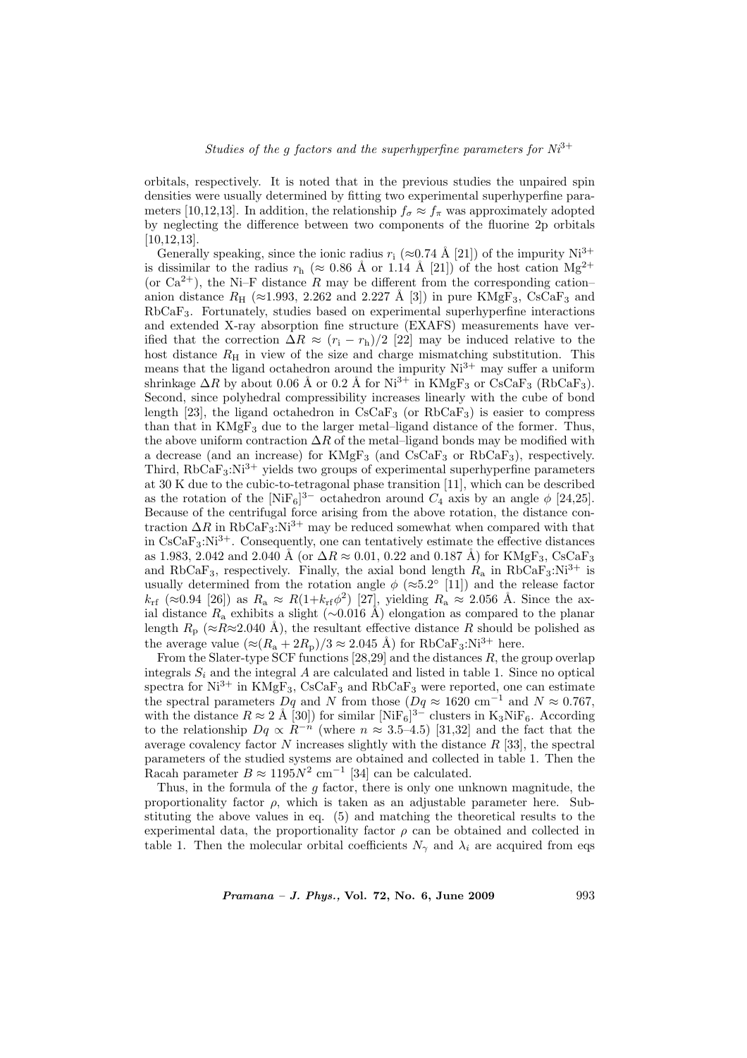## Studies of the g factors and the superhyperfine parameters for  $Ni^{3+}$

orbitals, respectively. It is noted that in the previous studies the unpaired spin densities were usually determined by fitting two experimental superhyperfine parameters [10,12,13]. In addition, the relationship  $f_{\sigma} \approx f_{\pi}$  was approximately adopted by neglecting the difference between two components of the fluorine 2p orbitals [10,12,13].

Generally speaking, since the ionic radius  $r_i \approx 0.74 \text{ Å}$  [21]) of the impurity Ni<sup>3+</sup> is dissimilar to the radius  $r_h \approx 0.86$  Å or 1.14 Å [21]) of the host cation  $Mg^{2+}$ (or  $Ca^{2+}$ ), the Ni–F distance R may be different from the corresponding cation– anion distance  $R_H$  (≈1.993, 2.262 and 2.227 Å [3]) in pure KMgF<sub>3</sub>, CsCaF<sub>3</sub> and RbCaF3. Fortunately, studies based on experimental superhyperfine interactions and extended X-ray absorption fine structure (EXAFS) measurements have verified that the correction  $\Delta R \approx (r_i - r_h)/2$  [22] may be induced relative to the host distance  $R_{\rm H}$  in view of the size and charge mismatching substitution. This means that the ligand octahedron around the impurity  $Ni^{3+}$  may suffer a uniform shrinkage  $\Delta R$  by about 0.06 Å or 0.2 Å for Ni<sup>3+</sup> in KMgF<sub>3</sub> or CsCaF<sub>3</sub> (RbCaF<sub>3</sub>). Second, since polyhedral compressibility increases linearly with the cube of bond length [23], the ligand octahedron in  $\text{CsCaF}_3$  (or  $\text{RbCaF}_3$ ) is easier to compress than that in  $KMgF_3$  due to the larger metal–ligand distance of the former. Thus, the above uniform contraction  $\Delta R$  of the metal–ligand bonds may be modified with a decrease (and an increase) for  $KMgF_3$  (and  $CsCaF_3$  or  $RbCaF_3$ ), respectively. Third,  $RbCaF_3:Ni^{3+}$  yields two groups of experimental superhyperfine parameters at 30 K due to the cubic-to-tetragonal phase transition [11], which can be described as the rotation of the  $[NiF_6]^{3-}$  octahedron around  $C_4$  axis by an angle  $\phi$  [24,25]. Because of the centrifugal force arising from the above rotation, the distance contraction  $\Delta R$  in RbCaF<sub>3</sub>:Ni<sup>3+</sup> may be reduced somewhat when compared with that in  $CsCaF<sub>3</sub>:Ni<sup>3+</sup>$ . Consequently, one can tentatively estimate the effective distances as 1.983, 2.042 and 2.040 Å (or ∆R ≈ 0.01, 0.22 and 0.187 Å) for KMgF<sub>3</sub>, CsCaF<sub>3</sub> and RbCaF<sub>3</sub>, respectively. Finally, the axial bond length  $R_a$  in RbCaF<sub>3</sub>:Ni<sup>3+</sup> is usually determined from the rotation angle  $\phi$  ( $\approx 5.2^\circ$  [11]) and the release factor  $k_{\rm rf}$  (≈0.94 [26]) as  $R_{\rm a} \approx R(1+k_{\rm rf}\phi^2)$  [27], yielding  $R_{\rm a} \approx 2.056$  Å. Since the axial distance  $R_a$  exhibits a slight ( $\sim$ 0.016 Å) elongation as compared to the planar length  $R_p$  (≈R≈2.040 Å), the resultant effective distance R should be polished as the average value  $(\approx (R_a + 2R_p)/3 \approx 2.045 \text{ Å})$  for RbCaF<sub>3</sub>:Ni<sup>3+</sup> here.

From the Slater-type SCF functions  $[28,29]$  and the distances  $R$ , the group overlap integrals  $S_i$  and the integral A are calculated and listed in table 1. Since no optical spectra for  $Ni^{3+}$  in  $KMgF_3$ ,  $CsCaF_3$  and  $RbCaF_3$  were reported, one can estimate the spectral parameters  $Dq$  and N from those ( $Dq \approx 1620$  cm<sup>-1</sup> and  $N \approx 0.767$ , with the distance  $R \approx 2$  Å [30]) for similar  $[NiF_6]^{3-}$  clusters in K<sub>3</sub>NiF<sub>6</sub>. According to the relationship  $Dq \propto R^{-n}$  (where  $n \approx 3.5-4.5$ ) [31,32] and the fact that the average covalency factor  $N$  increases slightly with the distance  $R$  [33], the spectral parameters of the studied systems are obtained and collected in table 1. Then the Racah parameter  $B \approx 1195N^2$  cm<sup>-1</sup> [34] can be calculated.

Thus, in the formula of the  $g$  factor, there is only one unknown magnitude, the proportionality factor  $\rho$ , which is taken as an adjustable parameter here. Substituting the above values in eq. (5) and matching the theoretical results to the experimental data, the proportionality factor  $\rho$  can be obtained and collected in table 1. Then the molecular orbital coefficients  $N_{\gamma}$  and  $\lambda_i$  are acquired from eqs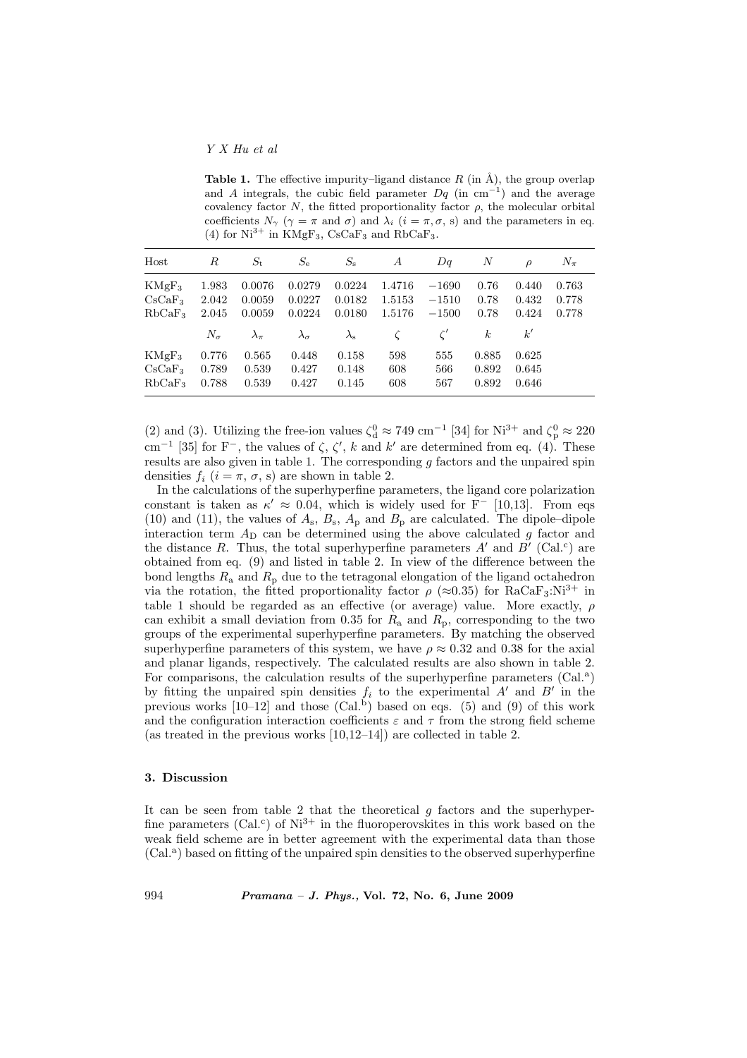**Table 1.** The effective impurity–ligand distance  $R$  (in  $\hat{A}$ ), the group overlap and A integrals, the cubic field parameter  $Dq$  (in cm<sup>-1</sup>) and the average covalency factor  $N$ , the fitted proportionality factor  $\rho$ , the molecular orbital coefficients  $N_{\gamma}$  ( $\gamma = \pi$  and  $\sigma$ ) and  $\lambda_i$  ( $i = \pi, \sigma$ , s) and the parameters in eq. (4) for  $\mathrm{Ni^{3+}}$  in  $\mathrm{KMgF_{3},\,CsCaF_{3}}$  and  $\mathrm{RbCaF_{3}}.$ 

| $\operatorname*{Host}% \left( X\right) \equiv\operatorname*{Host}X\text{,}$ | R            | $S_{\rm t}$     | $S_{\rm e}$        | $S_{\rm s}$       | $\boldsymbol{A}$ | Da      | N                | $\rho$ | $N_{\pi}$ |
|-----------------------------------------------------------------------------|--------------|-----------------|--------------------|-------------------|------------------|---------|------------------|--------|-----------|
| $KMgF_3$                                                                    | 1.983        | 0.0076          | 0.0279             | 0.0224            | 1.4716           | $-1690$ | 0.76             | 0.440  | 0.763     |
| CsCaF <sub>3</sub>                                                          | 2.042        | 0.0059          | 0.0227             | 0.0182            | 1.5153           | $-1510$ | 0.78             | 0.432  | 0.778     |
| RbCaF <sub>3</sub>                                                          | 2.045        | 0.0059          | 0.0224             | 0.0180            | 1.5176           | $-1500$ | 0.78             | 0.424  | 0.778     |
|                                                                             | $N_{\sigma}$ | $\lambda_{\pi}$ | $\lambda_{\sigma}$ | $\lambda_{\rm s}$ |                  |         | $\boldsymbol{k}$ | k'     |           |
| $KMgF_3$                                                                    | 0.776        | 0.565           | 0.448              | 0.158             | 598              | 555     | 0.885            | 0.625  |           |
| CsCaF <sub>3</sub>                                                          | 0.789        | 0.539           | 0.427              | 0.148             | 608              | 566     | 0.892            | 0.645  |           |
| RbCaF <sub>3</sub>                                                          | 0.788        | 0.539           | 0.427              | 0.145             | 608              | 567     | 0.892            | 0.646  |           |

(2) and (3). Utilizing the free-ion values  $\zeta_d^0 \approx 749 \text{ cm}^{-1}$  [34] for Ni<sup>3+</sup> and  $\zeta_p^0 \approx 220$ cm<sup>-1</sup> [35] for F<sup>-</sup>, the values of  $\zeta$ ,  $\zeta'$ , k and k' are determined from eq. (4). These results are also given in table 1. The corresponding  $q$  factors and the unpaired spin densities  $f_i$   $(i = \pi, \sigma, s)$  are shown in table 2.

In the calculations of the superhyperfine parameters, the ligand core polarization constant is taken as  $\kappa' \approx 0.04$ , which is widely used for F<sup>-</sup> [10,13]. From eqs (10) and (11), the values of  $A_s$ ,  $B_s$ ,  $A_p$  and  $B_p$  are calculated. The dipole–dipole interaction term  $A_D$  can be determined using the above calculated g factor and the distance R. Thus, the total superhyperfine parameters  $A'$  and  $B'$  (Cal.<sup>c</sup>) are obtained from eq. (9) and listed in table 2. In view of the difference between the bond lengths  $R_a$  and  $R_p$  due to the tetragonal elongation of the ligand octahedron via the rotation, the fitted proportionality factor  $\rho$  ( $\approx 0.35$ ) for RaCaF<sub>3</sub>:Ni<sup>3+</sup> in table 1 should be regarded as an effective (or average) value. More exactly,  $\rho$ can exhibit a small deviation from 0.35 for  $R_a$  and  $R_p$ , corresponding to the two groups of the experimental superhyperfine parameters. By matching the observed superhyperfine parameters of this system, we have  $\rho \approx 0.32$  and 0.38 for the axial and planar ligands, respectively. The calculated results are also shown in table 2. For comparisons, the calculation results of the superhyperfine parameters  $(Cal^a)$ by fitting the unpaired spin densities  $f_i$  to the experimental  $A'$  and  $B'$  in the previous works  $[10-12]$  and those  $(Cal^b)$  based on eqs. (5) and (9) of this work and the configuration interaction coefficients  $\varepsilon$  and  $\tau$  from the strong field scheme (as treated in the previous works [10,12–14]) are collected in table 2.

#### 3. Discussion

It can be seen from table 2 that the theoretical  $g$  factors and the superhyperfine parameters (Cal.<sup>c</sup>) of  $Ni^{3+}$  in the fluoroperovskites in this work based on the weak field scheme are in better agreement with the experimental data than those (Cal.<sup>a</sup>) based on fitting of the unpaired spin densities to the observed superhyperfine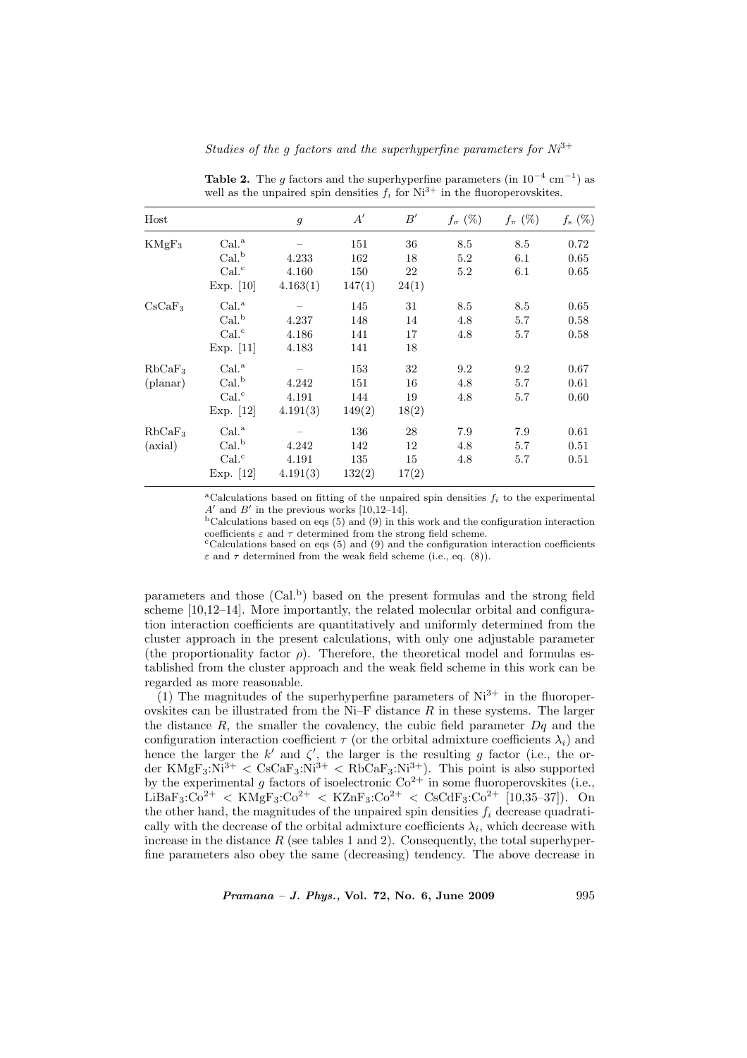| Host                           |                                                                              | $\mathfrak{g}$             | $A^{\prime}$                | B'                      | $f_{\sigma}(\%)$  | $f_{\pi}(\%)$     | $f_{\rm s}$ $(\%)$   |
|--------------------------------|------------------------------------------------------------------------------|----------------------------|-----------------------------|-------------------------|-------------------|-------------------|----------------------|
| $KMgF_3$                       | Cal. <sup>a</sup><br>Cal <sup>b</sup>                                        | 4.233                      | 151<br>162                  | 36<br>18                | 8.5<br>5.2        | 8.5<br>6.1        | 0.72<br>0.65         |
|                                | $Cal.$ <sup>c</sup><br>Exp. [10]                                             | 4.160<br>4.163(1)          | 150<br>147(1)               | 22<br>24(1)             | 5.2               | 6.1               | 0.65                 |
| CsCaF <sub>3</sub>             | Cal. <sup>a</sup><br>Cal. <sup>b</sup><br>$Cal.$ <sup>c</sup><br>Exp. $[11]$ | 4.237<br>4.186<br>4.183    | 145<br>148<br>141<br>141    | 31<br>14<br>17<br>18    | 8.5<br>4.8<br>4.8 | 8.5<br>5.7<br>5.7 | 0.65<br>0.58<br>0.58 |
| $RbCaF_3$<br>$(\text{planar})$ | Cal. <sup>a</sup><br>Cal. <sup>b</sup><br>Cal <sup>c</sup><br>Exp. $[12]$    | 4.242<br>4.191<br>4.191(3) | 153<br>151<br>144<br>149(2) | 32<br>16<br>19<br>18(2) | 9.2<br>4.8<br>4.8 | 9.2<br>5.7<br>5.7 | 0.67<br>0.61<br>0.60 |
| $RbCaF_3$<br>(axial)           | Cal. <sup>a</sup><br>$Cal.^{\rm b}$<br>Cal <sup>c</sup><br>Exp. $[12]$       | 4.242<br>4.191<br>4.191(3) | 136<br>142<br>135<br>132(2) | 28<br>12<br>15<br>17(2) | 7.9<br>4.8<br>4.8 | 7.9<br>5.7<br>5.7 | 0.61<br>0.51<br>0.51 |

**Table 2.** The g factors and the superhyperfine parameters (in  $10^{-4}$  cm<sup>-1</sup>) as

well as the unpaired spin densities  $f_i$  for  $Ni^{3+}$  in the fluoroperovskites.

Studies of the q factors and the superhyperfine parameters for  $Ni^{3+}$ 

<sup>a</sup>Calculations based on fitting of the unpaired spin densities  $f_i$  to the experimental  $A'$  and  $B'$  in the previous works [10,12–14].

 $b$ Calculations based on eqs (5) and (9) in this work and the configuration interaction coefficients  $\varepsilon$  and  $\tau$  determined from the strong field scheme.

 $c$ Calculations based on eqs (5) and (9) and the configuration interaction coefficients  $\varepsilon$  and  $\tau$  determined from the weak field scheme (i.e., eq. (8)).

parameters and those (Cal.<sup>b</sup>) based on the present formulas and the strong field scheme [10,12–14]. More importantly, the related molecular orbital and configuration interaction coefficients are quantitatively and uniformly determined from the cluster approach in the present calculations, with only one adjustable parameter (the proportionality factor  $\rho$ ). Therefore, the theoretical model and formulas established from the cluster approach and the weak field scheme in this work can be regarded as more reasonable.

 $(1)$  The magnitudes of the superhyperfine parameters of Ni<sup>3+</sup> in the fluoroperovskites can be illustrated from the Ni–F distance  $R$  in these systems. The larger the distance  $R$ , the smaller the covalency, the cubic field parameter  $Dq$  and the configuration interaction coefficient  $\tau$  (or the orbital admixture coefficients  $\lambda_i$ ) and hence the larger the k' and  $\zeta'$ , the larger is the resulting g factor (i.e., the order KMgF<sub>3</sub>: $Ni^{3+} < CsCaF_3:Ni^{3+} < RbCaF_3:Ni^{3+}$ ). This point is also supported by the experimental g factors of isoelectronic  $\text{Co}^{2+}$  in some fluoroperovskites (i.e.,  ${\rm LiBaF_3:Co^{2+}~<~KMgF_3:Co^{2+}~<~KZnF_3:Co^{2+}~<~CSCdF_3:Co^{2+}~~[10,35-37]).}$  On the other hand, the magnitudes of the unpaired spin densities  $f_i$  decrease quadratically with the decrease of the orbital admixture coefficients  $\lambda_i$ , which decrease with increase in the distance  $R$  (see tables 1 and 2). Consequently, the total superhyperfine parameters also obey the same (decreasing) tendency. The above decrease in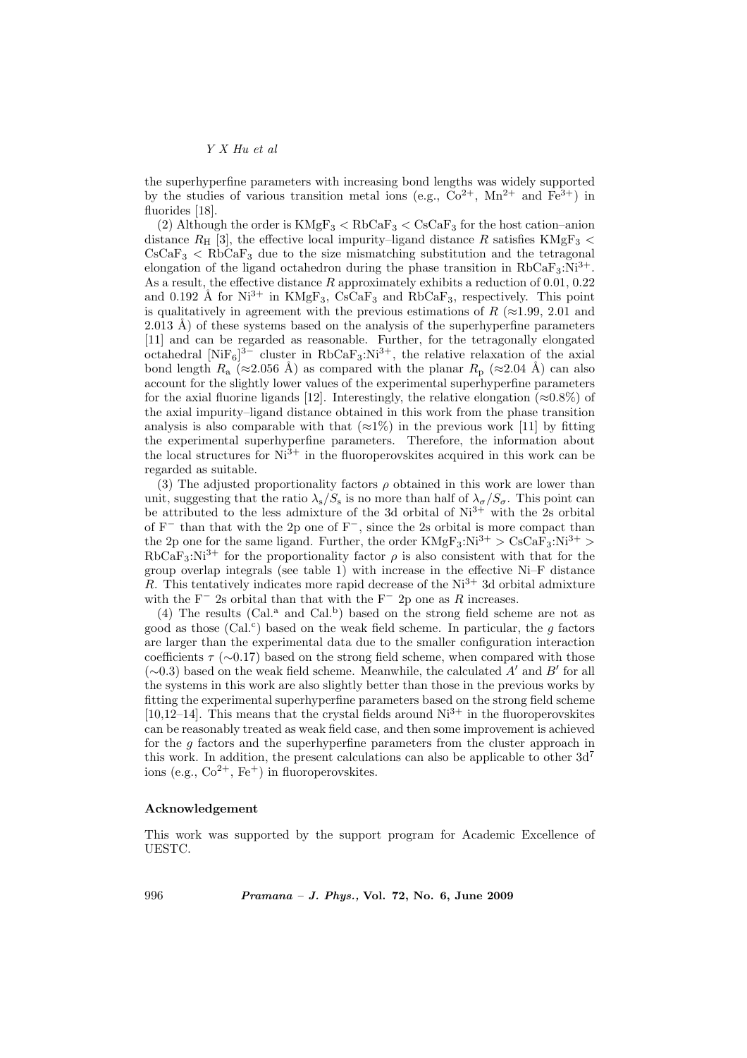the superhyperfine parameters with increasing bond lengths was widely supported by the studies of various transition metal ions (e.g.,  $\tilde{C}o^{2+}$ , Mn<sup>2+</sup> and Fe<sup>3+</sup>) in fluorides [18].

(2) Although the order is  $KMgF_3 < RbCaF_3 < CsCaF_3$  for the host cation–anion distance  $R_H$  [3], the effective local impurity–ligand distance R satisfies KMgF<sub>3</sub> <  $CsCaF<sub>3</sub>$  < RbCaF<sub>3</sub> due to the size mismatching substitution and the tetragonal elongation of the ligand octahedron during the phase transition in  $RbCaF_3:Ni^{3+}$ . As a result, the effective distance  $R$  approximately exhibits a reduction of 0.01, 0.22 and 0.192 Å for  $Ni^{3+}$  in  $KMgF_3$ ,  $CsCaF_3$  and  $RbCaF_3$ , respectively. This point is qualitatively in agreement with the previous estimations of  $R$  ( $\approx$ 1.99, 2.01 and  $2.013 \text{ Å}$ ) of these systems based on the analysis of the superhyperfine parameters [11] and can be regarded as reasonable. Further, for the tetragonally elongated octahedral  $[NiF_6]^{3-}$  cluster in RbCaF<sub>3</sub>:N<sub>1</sub><sup>3+</sup>, the relative relaxation of the axial bond length  $R_a$  (≈2.056 Å) as compared with the planar  $R_p$  (≈2.04 Å) can also account for the slightly lower values of the experimental superhyperfine parameters for the axial fluorine ligands [12]. Interestingly, the relative elongation ( $\approx 0.8\%$ ) of the axial impurity–ligand distance obtained in this work from the phase transition analysis is also comparable with that  $(\approx 1\%)$  in the previous work [11] by fitting the experimental superhyperfine parameters. Therefore, the information about the local structures for  $Ni^{3+}$  in the fluoroperovskites acquired in this work can be regarded as suitable.

(3) The adjusted proportionality factors  $\rho$  obtained in this work are lower than unit, suggesting that the ratio  $\lambda_s/S_s$  is no more than half of  $\lambda_{\sigma}/S_{\sigma}$ . This point can be attributed to the less admixture of the 3d orbital of  $Ni^{3+'}$  with the 2s orbital of F<sup>−</sup> than that with the 2p one of F<sup>−</sup>, since the 2s orbital is more compact than the 2p one for the same ligand. Further, the order  $KMgF_3:Ni^{3+} > CsCaF_3:Ni^{3+} >$  $RbCaF_3:Ni^{3+}$  for the proportionality factor  $\rho$  is also consistent with that for the group overlap integrals (see table 1) with increase in the effective Ni–F distance  $R$ . This tentatively indicates more rapid decrease of the Ni<sup>3+</sup> 3d orbital admixture with the  $F^-$  2s orbital than that with the  $F^-$  2p one as R increases.

 $(4)$  The results  $(Cal^a$  and  $Cal^b)$  based on the strong field scheme are not as good as those  $(Cal^c)$  based on the weak field scheme. In particular, the g factors are larger than the experimental data due to the smaller configuration interaction coefficients  $\tau (\sim 0.17)$  based on the strong field scheme, when compared with those  $(\sim 0.3)$  based on the weak field scheme. Meanwhile, the calculated A' and B' for all the systems in this work are also slightly better than those in the previous works by fitting the experimental superhyperfine parameters based on the strong field scheme  $[10,12-14]$ . This means that the crystal fields around  $Ni<sup>3+</sup>$  in the fluoroperovskites can be reasonably treated as weak field case, and then some improvement is achieved for the g factors and the superhyperfine parameters from the cluster approach in this work. In addition, the present calculations can also be applicable to other  $3d^7$ ions (e.g.,  $Co^{2+}$ ,  $Fe^{+}$ ) in fluoroperovskites.

#### Acknowledgement

This work was supported by the support program for Academic Excellence of UESTC.